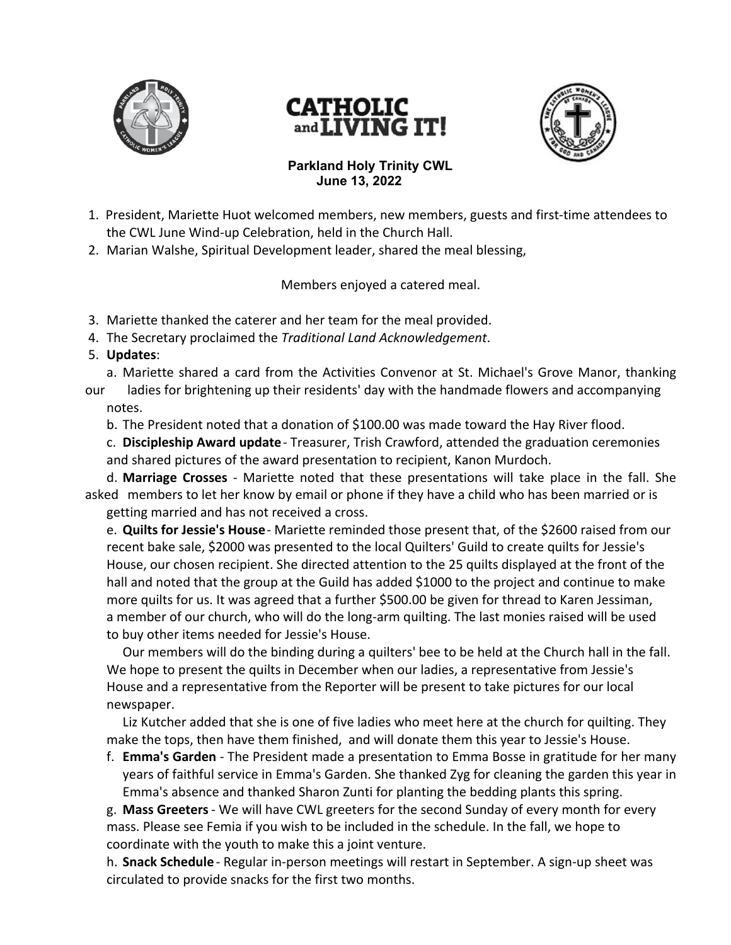





## **Parkland Holy Trinity CWL June 13, 2022**

- 1. President, Mariette Huot welcomed members, new members, guests and first-time attendees to the CWL June Wind-up Celebration, held in the Church Hall.
- 2. Marian Walshe, Spiritual Development leader, shared the meal blessing,

Members enjoyed a catered meal.

- 3. Mariette thanked the caterer and her team for the meal provided.
- 4. The Secretary proclaimed the *Traditional Land Acknowledgement*.
- 5. **Updates**:
- a. Mariette shared a card from the Activities Convenor at St. Michael's Grove Manor, thanking
- our ladies for brightening up their residents' day with the handmade flowers and accompanying notes.
	- b. The President noted that a donation of \$100.00 was made toward the Hay River flood.

c. **Discipleship Award update** - Treasurer, Trish Crawford, attended the graduation ceremonies and shared pictures of the award presentation to recipient, Kanon Murdoch.

d. **Marriage Crosses** - Mariette noted that these presentations will take place in the fall. She asked members to let her know by email or phone if they have a child who has been married or is getting married and has not received a cross.

e. **Quilts for Jessie's House** - Mariette reminded those present that, of the \$2600 raised from our recent bake sale, \$2000 was presented to the local Quilters' Guild to create quilts for Jessie's House, our chosen recipient. She directed attention to the 25 quilts displayed at the front of the hall and noted that the group at the Guild has added \$1000 to the project and continue to make more quilts for us. It was agreed that a further \$500.00 be given for thread to Karen Jessiman, a member of our church, who will do the long-arm quilting. The last monies raised will be used to buy other items needed for Jessie's House.

Our members will do the binding during a quilters' bee to be held at the Church hall in the fall. We hope to present the quilts in December when our ladies, a representative from Jessie's House and a representative from the Reporter will be present to take pictures for our local newspaper.

Liz Kutcher added that she is one of five ladies who meet here at the church for quilting. They make the tops, then have them finished, and will donate them this year to Jessie's House.

f. **Emma's Garden** - The President made a presentation to Emma Bosse in gratitude for her many years of faithful service in Emma's Garden. She thanked Zyg for cleaning the garden this year in Emma's absence and thanked Sharon Zunti for planting the bedding plants this spring.

g. **Mass Greeters** - We will have CWL greeters for the second Sunday of every month for every mass. Please see Femia if you wish to be included in the schedule. In the fall, we hope to coordinate with the youth to make this a joint venture.

h. **Snack Schedule** - Regular in-person meetings will restart in September. A sign-up sheet was circulated to provide snacks for the first two months.